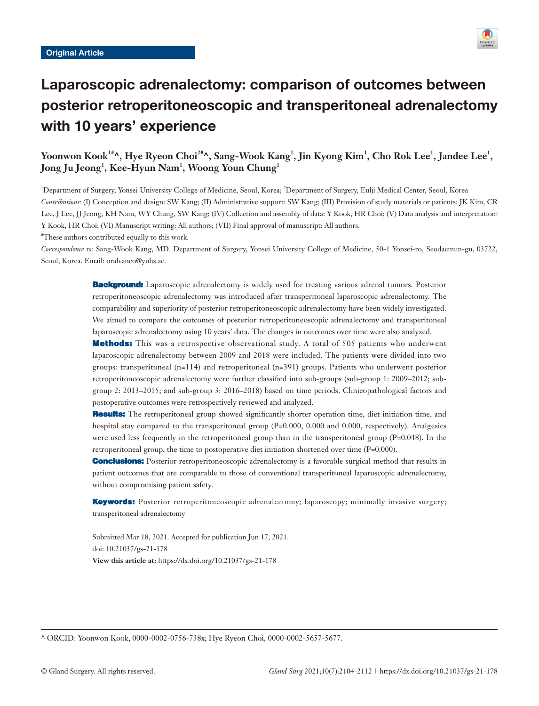

# Laparoscopic adrenalectomy: comparison of outcomes between posterior retroperitoneoscopic and transperitoneal adrenalectomy with 10 years' experience

# Yoonwon Kook<sup>1#</sup>^, Hye Ryeon Choi<sup>2#</sup>^, Sang-Wook Kang<sup>1</sup>, Jin Kyong Kim<sup>1</sup>, Cho Rok Lee<sup>1</sup>, Jandee Lee<sup>1</sup>,  $\mathbf{J}$ ong  $\mathbf{J}$ u  $\mathbf{J}$ eong $^1$ ,  $\mathbf{K}$ ee-Hyun  $\mathbf{N}$ am $^1$ ,  $\mathbf{W}$ oong  $\mathbf{Y}$ oun  $\mathbf{Chung}^1$

<sup>1</sup>Department of Surgery, Yonsei University College of Medicine, Seoul, Korea; <sup>2</sup>Department of Surgery, Eulji Medical Center, Seoul, Korea *Contributions:* (I) Conception and design: SW Kang; (II) Administrative support: SW Kang; (III) Provision of study materials or patients: JK Kim, CR Lee, J Lee, JJ Jeong, KH Nam, WY Chung, SW Kang; (IV) Collection and assembly of data: Y Kook, HR Choi; (V) Data analysis and interpretation: Y Kook, HR Choi; (VI) Manuscript writing: All authors; (VII) Final approval of manuscript: All authors.

# These authors contributed equally to this work.

*Correspondence to:* Sang-Wook Kang, MD. Department of Surgery, Yonsei University College of Medicine, 50-1 Yonsei-ro, Seodaemun-gu, 03722, Seoul, Korea. Email: oralvanco@yuhs.ac.

> **Background:** Laparoscopic adrenalectomy is widely used for treating various adrenal tumors. Posterior retroperitoneoscopic adrenalectomy was introduced after transperitoneal laparoscopic adrenalectomy. The comparability and superiority of posterior retroperitoneoscopic adrenalectomy have been widely investigated. We aimed to compare the outcomes of posterior retroperitoneoscopic adrenalectomy and transperitoneal laparoscopic adrenalectomy using 10 years' data. The changes in outcomes over time were also analyzed.

> **Methods:** This was a retrospective observational study. A total of 505 patients who underwent laparoscopic adrenalectomy between 2009 and 2018 were included. The patients were divided into two groups: transperitoneal (n=114) and retroperitoneal (n=391) groups. Patients who underwent posterior retroperitoneoscopic adrenalectomy were further classified into sub-groups (sub-group 1: 2009–2012; subgroup 2: 2013–2015; and sub-group 3: 2016–2018) based on time periods. Clinicopathological factors and postoperative outcomes were retrospectively reviewed and analyzed.

> **Results:** The retroperitoneal group showed significantly shorter operation time, diet initiation time, and hospital stay compared to the transperitoneal group (P=0.000, 0.000 and 0.000, respectively). Analgesics were used less frequently in the retroperitoneal group than in the transperitoneal group ( $P=0.048$ ). In the retroperitoneal group, the time to postoperative diet initiation shortened over time (P=0.000).

> **Conclusions:** Posterior retroperitoneoscopic adrenalectomy is a favorable surgical method that results in patient outcomes that are comparable to those of conventional transperitoneal laparoscopic adrenalectomy, without compromising patient safety.

> Keywords: Posterior retroperitoneoscopic adrenalectomy; laparoscopy; minimally invasive surgery; transperitoneal adrenalectomy

Submitted Mar 18, 2021. Accepted for publication Jun 17, 2021. doi: 10.21037/gs-21-178 **View this article at:** https://dx.doi.org/10.21037/gs-21-178

^ ORCID: Yoonwon Kook, 0000-0002-0756-738x; Hye Ryeon Choi, 0000-0002-5657-5677.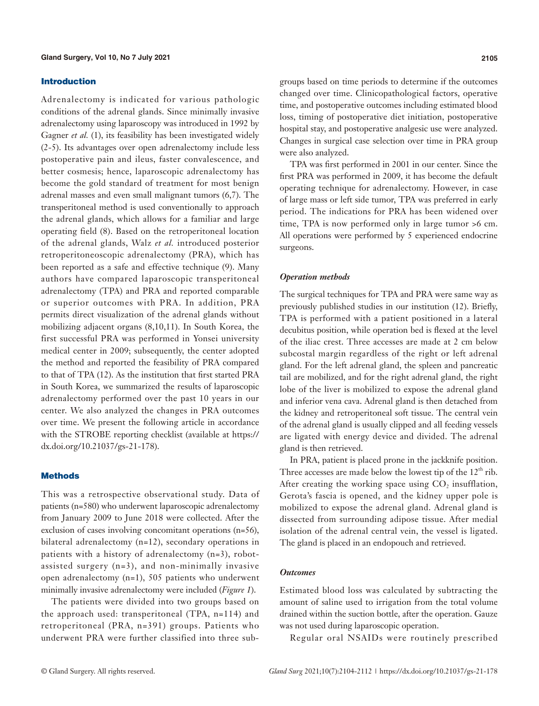#### Introduction

Adrenalectomy is indicated for various pathologic conditions of the adrenal glands. Since minimally invasive adrenalectomy using laparoscopy was introduced in 1992 by Gagner *et al.* (1), its feasibility has been investigated widely (2-5). Its advantages over open adrenalectomy include less postoperative pain and ileus, faster convalescence, and better cosmesis; hence, laparoscopic adrenalectomy has become the gold standard of treatment for most benign adrenal masses and even small malignant tumors (6,7). The transperitoneal method is used conventionally to approach the adrenal glands, which allows for a familiar and large operating field (8). Based on the retroperitoneal location of the adrenal glands, Walz *et al.* introduced posterior retroperitoneoscopic adrenalectomy (PRA), which has been reported as a safe and effective technique (9). Many authors have compared laparoscopic transperitoneal adrenalectomy (TPA) and PRA and reported comparable or superior outcomes with PRA. In addition, PRA permits direct visualization of the adrenal glands without mobilizing adjacent organs (8,10,11). In South Korea, the first successful PRA was performed in Yonsei university medical center in 2009; subsequently, the center adopted the method and reported the feasibility of PRA compared to that of TPA (12). As the institution that first started PRA in South Korea, we summarized the results of laparoscopic adrenalectomy performed over the past 10 years in our center. We also analyzed the changes in PRA outcomes over time. We present the following article in accordance with the STROBE reporting checklist (available at [https://](https://dx.doi.org/10.21037/gs-21-178) [dx.doi.org/10.21037/gs-21-178\)](https://dx.doi.org/10.21037/gs-21-178).

# **Methods**

This was a retrospective observational study. Data of patients (n=580) who underwent laparoscopic adrenalectomy from January 2009 to June 2018 were collected. After the exclusion of cases involving concomitant operations (n=56), bilateral adrenalectomy (n=12), secondary operations in patients with a history of adrenalectomy (n=3), robotassisted surgery (n=3), and non-minimally invasive open adrenalectomy (n=1), 505 patients who underwent minimally invasive adrenalectomy were included (*Figure 1*).

The patients were divided into two groups based on the approach used: transperitoneal (TPA, n=114) and retroperitoneal (PRA, n=391) groups. Patients who underwent PRA were further classified into three sub-

groups based on time periods to determine if the outcomes changed over time. Clinicopathological factors, operative time, and postoperative outcomes including estimated blood loss, timing of postoperative diet initiation, postoperative hospital stay, and postoperative analgesic use were analyzed. Changes in surgical case selection over time in PRA group were also analyzed.

TPA was first performed in 2001 in our center. Since the first PRA was performed in 2009, it has become the default operating technique for adrenalectomy. However, in case of large mass or left side tumor, TPA was preferred in early period. The indications for PRA has been widened over time, TPA is now performed only in large tumor >6 cm. All operations were performed by 5 experienced endocrine surgeons.

#### *Operation methods*

The surgical techniques for TPA and PRA were same way as previously published studies in our institution (12). Briefly, TPA is performed with a patient positioned in a lateral decubitus position, while operation bed is flexed at the level of the iliac crest. Three accesses are made at 2 cm below subcostal margin regardless of the right or left adrenal gland. For the left adrenal gland, the spleen and pancreatic tail are mobilized, and for the right adrenal gland, the right lobe of the liver is mobilized to expose the adrenal gland and inferior vena cava. Adrenal gland is then detached from the kidney and retroperitoneal soft tissue. The central vein of the adrenal gland is usually clipped and all feeding vessels are ligated with energy device and divided. The adrenal gland is then retrieved.

In PRA, patient is placed prone in the jackknife position. Three accesses are made below the lowest tip of the  $12<sup>th</sup>$  rib. After creating the working space using  $CO<sub>2</sub>$  insufflation, Gerota's fascia is opened, and the kidney upper pole is mobilized to expose the adrenal gland. Adrenal gland is dissected from surrounding adipose tissue. After medial isolation of the adrenal central vein, the vessel is ligated. The gland is placed in an endopouch and retrieved.

#### *Outcomes*

Estimated blood loss was calculated by subtracting the amount of saline used to irrigation from the total volume drained within the suction bottle, after the operation. Gauze was not used during laparoscopic operation.

Regular oral NSAIDs were routinely prescribed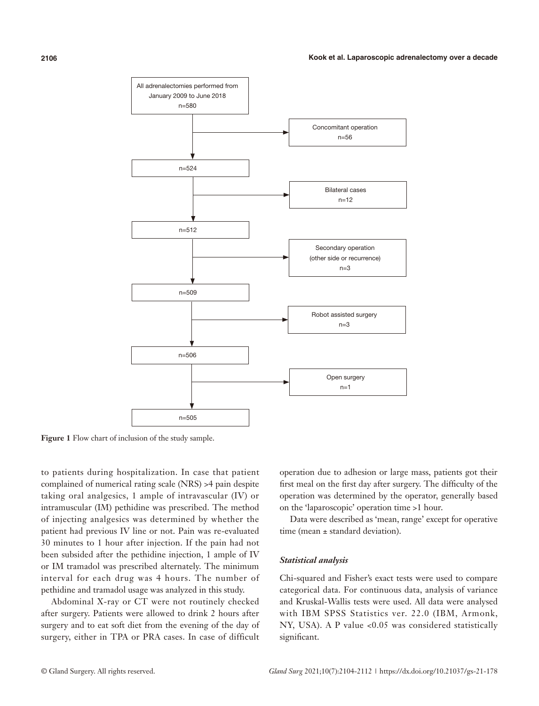

Figure 1 Flow chart of inclusion of the study sample.

to patients during hospitalization. In case that patient complained of numerical rating scale (NRS) >4 pain despite taking oral analgesics, 1 ample of intravascular (IV) or intramuscular (IM) pethidine was prescribed. The method of injecting analgesics was determined by whether the patient had previous IV line or not. Pain was re-evaluated 30 minutes to 1 hour after injection. If the pain had not been subsided after the pethidine injection, 1 ample of IV or IM tramadol was prescribed alternately. The minimum interval for each drug was 4 hours. The number of pethidine and tramadol usage was analyzed in this study.

Abdominal X-ray or CT were not routinely checked after surgery. Patients were allowed to drink 2 hours after surgery and to eat soft diet from the evening of the day of surgery, either in TPA or PRA cases. In case of difficult

operation due to adhesion or large mass, patients got their first meal on the first day after surgery. The difficulty of the operation was determined by the operator, generally based on the 'laparoscopic' operation time >1 hour.

Data were described as 'mean, range' except for operative time (mean ± standard deviation).

#### *Statistical analysis*

Chi-squared and Fisher's exact tests were used to compare categorical data. For continuous data, analysis of variance and Kruskal-Wallis tests were used. All data were analysed with IBM SPSS Statistics ver. 22.0 (IBM, Armonk, NY, USA). A P value <0.05 was considered statistically significant.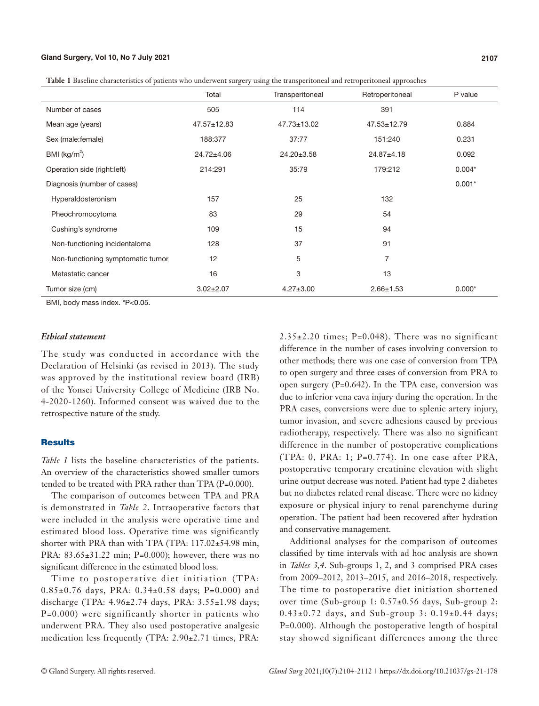#### **Gland Surgery, Vol 10, No 7 July 2021 2107**

**Table 1** Baseline characteristics of patients who underwent surgery using the transperitoneal and retroperitoneal approaches

|                                   | Total            | Transperitoneal  | Retroperitoneal   | P value  |
|-----------------------------------|------------------|------------------|-------------------|----------|
| Number of cases                   | 505              | 114              | 391               |          |
| Mean age (years)                  | 47.57±12.83      | 47.73±13.02      | $47.53 \pm 12.79$ | 0.884    |
| Sex (male: female)                | 188:377          | 37:77            | 151:240           | 0.231    |
| BMI ( $kg/m2$ )                   | $24.72 \pm 4.06$ | $24.20 \pm 3.58$ | $24.87 + 4.18$    | 0.092    |
| Operation side (right:left)       | 214:291          | 35:79            | 179:212           | $0.004*$ |
| Diagnosis (number of cases)       |                  |                  |                   | $0.001*$ |
| Hyperaldosteronism                | 157              | 25               | 132               |          |
| Pheochromocytoma                  | 83               | 29               | 54                |          |
| Cushing's syndrome                | 109              | 15               | 94                |          |
| Non-functioning incidentaloma     | 128              | 37               | 91                |          |
| Non-functioning symptomatic tumor | 12               | 5                | $\overline{7}$    |          |
| Metastatic cancer                 | 16               | 3                | 13                |          |
| Tumor size (cm)                   | $3.02 \pm 2.07$  | $4.27 \pm 3.00$  | $2.66 \pm 1.53$   | $0.000*$ |

BMI, body mass index. \*P<0.05.

#### *Ethical statement*

The study was conducted in accordance with the Declaration of Helsinki (as revised in 2013). The study was approved by the institutional review board (IRB) of the Yonsei University College of Medicine (IRB No. 4-2020-1260). Informed consent was waived due to the retrospective nature of the study.

# **Results**

*Table 1* lists the baseline characteristics of the patients. An overview of the characteristics showed smaller tumors tended to be treated with PRA rather than TPA (P=0.000).

The comparison of outcomes between TPA and PRA is demonstrated in *Table 2*. Intraoperative factors that were included in the analysis were operative time and estimated blood loss. Operative time was significantly shorter with PRA than with TPA (TPA: 117.02±54.98 min, PRA: 83.65±31.22 min; P=0.000); however, there was no significant difference in the estimated blood loss.

Time to postoperative diet initiation (TPA: 0.85±0.76 days, PRA: 0.34±0.58 days; P=0.000) and discharge (TPA: 4.96±2.74 days, PRA: 3.55±1.98 days; P=0.000) were significantly shorter in patients who underwent PRA. They also used postoperative analgesic medication less frequently (TPA: 2.90±2.71 times, PRA:

 $2.35\pm2.20$  times; P=0.048). There was no significant difference in the number of cases involving conversion to other methods; there was one case of conversion from TPA to open surgery and three cases of conversion from PRA to open surgery (P=0.642). In the TPA case, conversion was due to inferior vena cava injury during the operation. In the PRA cases, conversions were due to splenic artery injury, tumor invasion, and severe adhesions caused by previous radiotherapy, respectively. There was also no significant difference in the number of postoperative complications (TPA: 0, PRA: 1; P=0.774). In one case after PRA, postoperative temporary creatinine elevation with slight urine output decrease was noted. Patient had type 2 diabetes but no diabetes related renal disease. There were no kidney exposure or physical injury to renal parenchyme during operation. The patient had been recovered after hydration and conservative management.

Additional analyses for the comparison of outcomes classified by time intervals with ad hoc analysis are shown in *Tables 3,4*. Sub-groups 1, 2, and 3 comprised PRA cases from 2009–2012, 2013–2015, and 2016–2018, respectively. The time to postoperative diet initiation shortened over time (Sub-group 1: 0.57±0.56 days, Sub-group 2:  $0.43\pm0.72$  days, and Sub-group 3:  $0.19\pm0.44$  days; P=0.000). Although the postoperative length of hospital stay showed significant differences among the three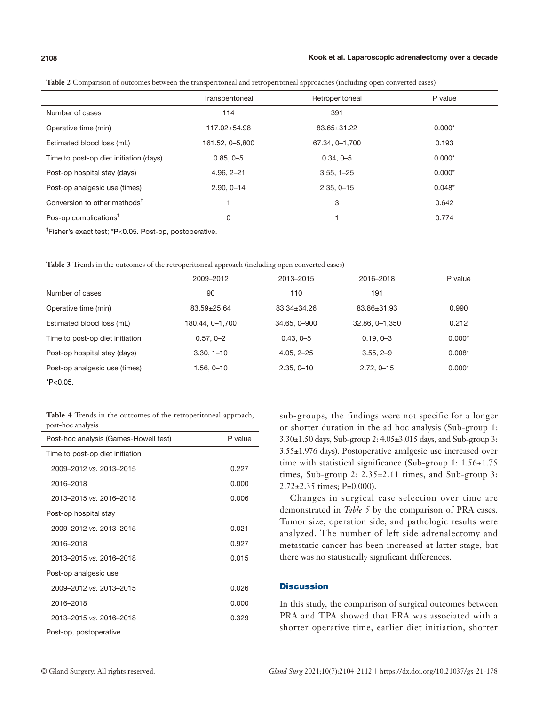#### **2108 Kook et al. Laparoscopic adrenalectomy over a decade**

|                                                       | Transperitoneal | Retroperitoneal | P value  |
|-------------------------------------------------------|-----------------|-----------------|----------|
| Number of cases                                       | 114             | 391             |          |
| Operative time (min)                                  | 117.02±54.98    | 83.65±31.22     | $0.000*$ |
| Estimated blood loss (mL)                             | 161.52, 0-5,800 | 67.34, 0-1,700  | 0.193    |
| Time to post-op diet initiation (days)                | $0.85, 0-5$     | $0.34, 0-5$     | $0.000*$ |
| Post-op hospital stay (days)                          | $4.96, 2 - 21$  | $3.55, 1 - 25$  | $0.000*$ |
| Post-op analgesic use (times)                         | $2.90, 0 - 14$  | $2.35, 0 - 15$  | $0.048*$ |
| Conversion to other methods <sup><math>†</math></sup> |                 | 3               | 0.642    |
| Pos-op complications <sup><math>†</math></sup>        | 0               |                 | 0.774    |

**Table 2** Comparison of outcomes between the transperitoneal and retroperitoneal approaches (including open converted cases)

† Fisher's exact test; \*P<0.05. Post-op, postoperative.

**Table 3** Trends in the outcomes of the retroperitoneal approach (including open converted cases)

|                                 | 2009-2012       | 2013-2015      | 2016-2018       | P value  |
|---------------------------------|-----------------|----------------|-----------------|----------|
| Number of cases                 | 90              | 110            | 191             |          |
| Operative time (min)            | 83.59±25.64     | 83.34±34.26    | 83.86±31.93     | 0.990    |
| Estimated blood loss (mL)       | 180.44, 0–1,700 | 34.65, 0-900   | 32.86, 0-1, 350 | 0.212    |
| Time to post-op diet initiation | $0.57, 0 - 2$   | $0.43, 0 - 5$  | $0.19.0 - 3$    | $0.000*$ |
| Post-op hospital stay (days)    | $3.30, 1 - 10$  | $4.05, 2 - 25$ | $3.55, 2-9$     | $0.008*$ |
| Post-op analgesic use (times)   | 1.56, 0–10      | $2.35, 0 - 10$ | $2.72.0 - 15$   | $0.000*$ |
|                                 |                 |                |                 |          |

 $*P<0.05$ .

**Table 4** Trends in the outcomes of the retroperitoneal approach, post-hoc analysis

| Post-hoc analysis (Games-Howell test) | P value |  |  |  |
|---------------------------------------|---------|--|--|--|
| Time to post-op diet initiation       |         |  |  |  |
| 2009-2012 vs. 2013-2015               | 0.227   |  |  |  |
| 2016-2018                             | 0.000   |  |  |  |
| 2013-2015 vs. 2016-2018               | 0.006   |  |  |  |
| Post-op hospital stay                 |         |  |  |  |
| 2009-2012 vs. 2013-2015               | 0.021   |  |  |  |
| 2016-2018                             | 0.927   |  |  |  |
| 2013-2015 vs. 2016-2018               | 0.015   |  |  |  |
| Post-op analgesic use                 |         |  |  |  |
| 2009-2012 vs. 2013-2015               | 0.026   |  |  |  |
| 2016-2018                             | 0.000   |  |  |  |
| 2013-2015 vs. 2016-2018               | 0.329   |  |  |  |
|                                       |         |  |  |  |

Post-op, postoperative.

sub-groups, the findings were not specific for a longer or shorter duration in the ad hoc analysis (Sub-group 1: 3.30±1.50 days, Sub-group 2: 4.05±3.015 days, and Sub-group 3: 3.55±1.976 days). Postoperative analgesic use increased over time with statistical significance (Sub-group 1: 1.56±1.75 times, Sub-group  $2: 2.35 \pm 2.11$  times, and Sub-group 3:  $2.72 \pm 2.35$  times; P=0.000).

Changes in surgical case selection over time are demonstrated in *Table 5* by the comparison of PRA cases. Tumor size, operation side, and pathologic results were analyzed. The number of left side adrenalectomy and metastatic cancer has been increased at latter stage, but there was no statistically significant differences.

#### **Discussion**

In this study, the comparison of surgical outcomes between PRA and TPA showed that PRA was associated with a shorter operative time, earlier diet initiation, shorter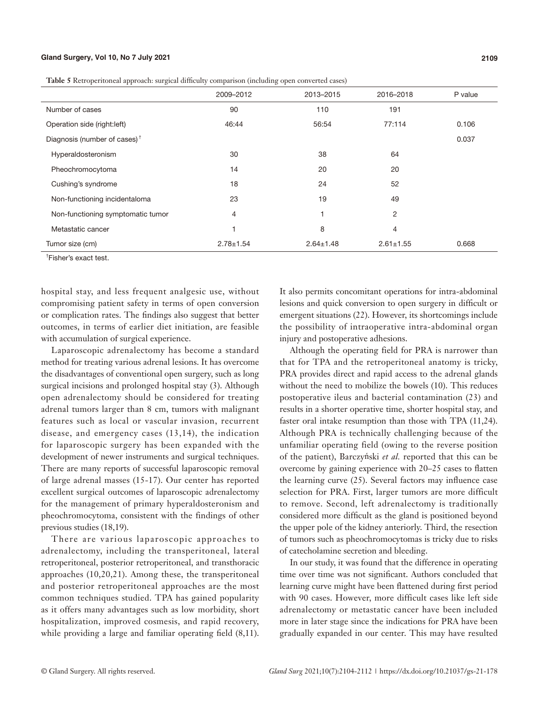#### **Gland Surgery, Vol 10, No 7 July 2021 2109**

| Table 5 Retroperitoneal approach: surgical difficulty comparison (including open converted cases) |  |  |  |
|---------------------------------------------------------------------------------------------------|--|--|--|
|                                                                                                   |  |  |  |

|                                                       | 2009-2012       | 2013-2015       | 2016-2018       | P value |
|-------------------------------------------------------|-----------------|-----------------|-----------------|---------|
| Number of cases                                       | 90              | 110             | 191             |         |
| Operation side (right:left)                           | 46:44           | 56:54           | 77:114          | 0.106   |
| Diagnosis (number of cases) <sup><math>†</math></sup> |                 |                 |                 | 0.037   |
| Hyperaldosteronism                                    | 30              | 38              | 64              |         |
| Pheochromocytoma                                      | 14              | 20              | 20              |         |
| Cushing's syndrome                                    | 18              | 24              | 52              |         |
| Non-functioning incidentaloma                         | 23              | 19              | 49              |         |
| Non-functioning symptomatic tumor                     | 4               |                 | 2               |         |
| Metastatic cancer                                     |                 | 8               | 4               |         |
| Tumor size (cm)                                       | $2.78 \pm 1.54$ | $2.64 \pm 1.48$ | $2.61 \pm 1.55$ | 0.668   |

† Fisher's exact test.

hospital stay, and less frequent analgesic use, without compromising patient safety in terms of open conversion or complication rates. The findings also suggest that better outcomes, in terms of earlier diet initiation, are feasible with accumulation of surgical experience.

Laparoscopic adrenalectomy has become a standard method for treating various adrenal lesions. It has overcome the disadvantages of conventional open surgery, such as long surgical incisions and prolonged hospital stay (3). Although open adrenalectomy should be considered for treating adrenal tumors larger than 8 cm, tumors with malignant features such as local or vascular invasion, recurrent disease, and emergency cases (13,14), the indication for laparoscopic surgery has been expanded with the development of newer instruments and surgical techniques. There are many reports of successful laparoscopic removal of large adrenal masses (15-17). Our center has reported excellent surgical outcomes of laparoscopic adrenalectomy for the management of primary hyperaldosteronism and pheochromocytoma, consistent with the findings of other previous studies (18,19).

There are various laparoscopic approaches to adrenalectomy, including the transperitoneal, lateral retroperitoneal, posterior retroperitoneal, and transthoracic approaches (10,20,21). Among these, the transperitoneal and posterior retroperitoneal approaches are the most common techniques studied. TPA has gained popularity as it offers many advantages such as low morbidity, short hospitalization, improved cosmesis, and rapid recovery, while providing a large and familiar operating field (8,11).

It also permits concomitant operations for intra-abdominal lesions and quick conversion to open surgery in difficult or emergent situations (22). However, its shortcomings include the possibility of intraoperative intra-abdominal organ injury and postoperative adhesions.

Although the operating field for PRA is narrower than that for TPA and the retroperitoneal anatomy is tricky, PRA provides direct and rapid access to the adrenal glands without the need to mobilize the bowels (10). This reduces postoperative ileus and bacterial contamination (23) and results in a shorter operative time, shorter hospital stay, and faster oral intake resumption than those with TPA (11,24). Although PRA is technically challenging because of the unfamiliar operating field (owing to the reverse position of the patient), Barczyński *et al.* reported that this can be overcome by gaining experience with 20–25 cases to flatten the learning curve (25). Several factors may influence case selection for PRA. First, larger tumors are more difficult to remove. Second, left adrenalectomy is traditionally considered more difficult as the gland is positioned beyond the upper pole of the kidney anteriorly. Third, the resection of tumors such as pheochromocytomas is tricky due to risks of catecholamine secretion and bleeding.

In our study, it was found that the difference in operating time over time was not significant. Authors concluded that learning curve might have been flattened during first period with 90 cases. However, more difficult cases like left side adrenalectomy or metastatic cancer have been included more in later stage since the indications for PRA have been gradually expanded in our center. This may have resulted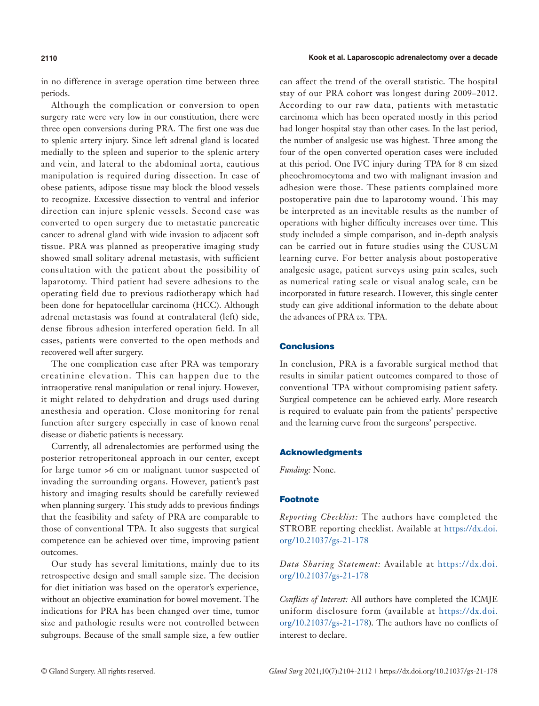in no difference in average operation time between three periods.

Although the complication or conversion to open surgery rate were very low in our constitution, there were three open conversions during PRA. The first one was due to splenic artery injury. Since left adrenal gland is located medially to the spleen and superior to the splenic artery and vein, and lateral to the abdominal aorta, cautious manipulation is required during dissection. In case of obese patients, adipose tissue may block the blood vessels to recognize. Excessive dissection to ventral and inferior direction can injure splenic vessels. Second case was converted to open surgery due to metastatic pancreatic cancer to adrenal gland with wide invasion to adjacent soft tissue. PRA was planned as preoperative imaging study showed small solitary adrenal metastasis, with sufficient consultation with the patient about the possibility of laparotomy. Third patient had severe adhesions to the operating field due to previous radiotherapy which had been done for hepatocellular carcinoma (HCC). Although adrenal metastasis was found at contralateral (left) side, dense fibrous adhesion interfered operation field. In all cases, patients were converted to the open methods and recovered well after surgery.

The one complication case after PRA was temporary creatinine elevation. This can happen due to the intraoperative renal manipulation or renal injury. However, it might related to dehydration and drugs used during anesthesia and operation. Close monitoring for renal function after surgery especially in case of known renal disease or diabetic patients is necessary.

Currently, all adrenalectomies are performed using the posterior retroperitoneal approach in our center, except for large tumor >6 cm or malignant tumor suspected of invading the surrounding organs. However, patient's past history and imaging results should be carefully reviewed when planning surgery. This study adds to previous findings that the feasibility and safety of PRA are comparable to those of conventional TPA. It also suggests that surgical competence can be achieved over time, improving patient outcomes.

Our study has several limitations, mainly due to its retrospective design and small sample size. The decision for diet initiation was based on the operator's experience, without an objective examination for bowel movement. The indications for PRA has been changed over time, tumor size and pathologic results were not controlled between subgroups. Because of the small sample size, a few outlier can affect the trend of the overall statistic. The hospital stay of our PRA cohort was longest during 2009–2012. According to our raw data, patients with metastatic carcinoma which has been operated mostly in this period had longer hospital stay than other cases. In the last period, the number of analgesic use was highest. Three among the four of the open converted operation cases were included at this period. One IVC injury during TPA for 8 cm sized pheochromocytoma and two with malignant invasion and adhesion were those. These patients complained more postoperative pain due to laparotomy wound. This may be interpreted as an inevitable results as the number of operations with higher difficulty increases over time. This study included a simple comparison, and in-depth analysis can be carried out in future studies using the CUSUM learning curve. For better analysis about postoperative analgesic usage, patient surveys using pain scales, such as numerical rating scale or visual analog scale, can be incorporated in future research. However, this single center study can give additional information to the debate about the advances of PRA *vs.* TPA.

### **Conclusions**

In conclusion, PRA is a favorable surgical method that results in similar patient outcomes compared to those of conventional TPA without compromising patient safety. Surgical competence can be achieved early. More research is required to evaluate pain from the patients' perspective and the learning curve from the surgeons' perspective.

#### Acknowledgments

*Funding:* None.

## Footnote

*Reporting Checklist:* The authors have completed the STROBE reporting checklist. Available at [https://dx.doi.](https://dx.doi.org/10.21037/gs-21-178) [org/10.21037/gs-21-178](https://dx.doi.org/10.21037/gs-21-178)

*Data Sharing Statement:* Available at [https://dx.doi.](https://dx.doi.org/10.21037/gs-21-178) [org/10.21037/gs-21-178](https://dx.doi.org/10.21037/gs-21-178)

*Conflicts of Interest:* All authors have completed the ICMJE uniform disclosure form (available at [https://dx.doi.](https://dx.doi.org/10.21037/gs-21-178) [org/10.21037/gs-21-178](https://dx.doi.org/10.21037/gs-21-178)). The authors have no conflicts of interest to declare.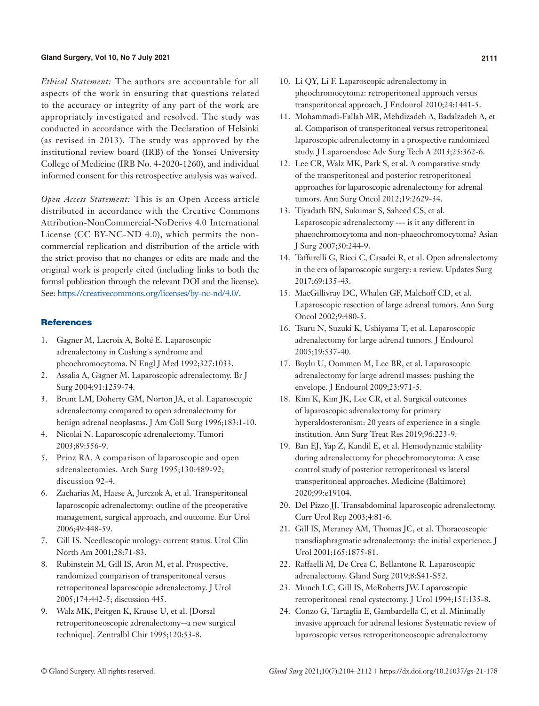#### **Gland Surgery, Vol 10, No 7 July 2021 2111**

*Ethical Statement:* The authors are accountable for all aspects of the work in ensuring that questions related to the accuracy or integrity of any part of the work are appropriately investigated and resolved. The study was conducted in accordance with the Declaration of Helsinki (as revised in 2013). The study was approved by the institutional review board (IRB) of the Yonsei University College of Medicine (IRB No. 4-2020-1260), and individual informed consent for this retrospective analysis was waived.

*Open Access Statement:* This is an Open Access article distributed in accordance with the Creative Commons Attribution-NonCommercial-NoDerivs 4.0 International License (CC BY-NC-ND 4.0), which permits the noncommercial replication and distribution of the article with the strict proviso that no changes or edits are made and the original work is properly cited (including links to both the formal publication through the relevant DOI and the license). See: [https://creativecommons.org/licenses/by-nc-nd/4.0/.](https://creativecommons.org/licenses/by-nc-nd/4.0/)

#### **References**

- 1. Gagner M, Lacroix A, Bolté E. Laparoscopic adrenalectomy in Cushing's syndrome and pheochromocytoma. N Engl J Med 1992;327:1033.
- 2. Assalia A, Gagner M. Laparoscopic adrenalectomy. Br J Surg 2004;91:1259-74.
- 3. Brunt LM, Doherty GM, Norton JA, et al. Laparoscopic adrenalectomy compared to open adrenalectomy for benign adrenal neoplasms. J Am Coll Surg 1996;183:1-10.
- 4. Nicolai N. Laparoscopic adrenalectomy. Tumori 2003;89:556-9.
- 5. Prinz RA. A comparison of laparoscopic and open adrenalectomies. Arch Surg 1995;130:489-92; discussion 92-4.
- 6. Zacharias M, Haese A, Jurczok A, et al. Transperitoneal laparoscopic adrenalectomy: outline of the preoperative management, surgical approach, and outcome. Eur Urol 2006;49:448-59.
- 7. Gill IS. Needlescopic urology: current status. Urol Clin North Am 2001;28:71-83.
- 8. Rubinstein M, Gill IS, Aron M, et al. Prospective, randomized comparison of transperitoneal versus retroperitoneal laparoscopic adrenalectomy. J Urol 2005;174:442-5; discussion 445.
- 9. Walz MK, Peitgen K, Krause U, et al. [Dorsal retroperitoneoscopic adrenalectomy--a new surgical technique]. Zentralbl Chir 1995;120:53-8.
- 10. Li QY, Li F. Laparoscopic adrenalectomy in pheochromocytoma: retroperitoneal approach versus transperitoneal approach. J Endourol 2010;24:1441-5.
- 11. Mohammadi-Fallah MR, Mehdizadeh A, Badalzadeh A, et al. Comparison of transperitoneal versus retroperitoneal laparoscopic adrenalectomy in a prospective randomized study. J Laparoendosc Adv Surg Tech A 2013;23:362-6.
- 12. Lee CR, Walz MK, Park S, et al. A comparative study of the transperitoneal and posterior retroperitoneal approaches for laparoscopic adrenalectomy for adrenal tumors. Ann Surg Oncol 2012;19:2629-34.
- 13. Tiyadath BN, Sukumar S, Saheed CS, et al. Laparoscopic adrenalectomy --- is it any different in phaeochromocytoma and non-phaeochromocytoma? Asian J Surg 2007;30:244-9.
- 14. Taffurelli G, Ricci C, Casadei R, et al. Open adrenalectomy in the era of laparoscopic surgery: a review. Updates Surg 2017;69:135-43.
- 15. MacGillivray DC, Whalen GF, Malchoff CD, et al. Laparoscopic resection of large adrenal tumors. Ann Surg Oncol 2002;9:480-5.
- 16. Tsuru N, Suzuki K, Ushiyama T, et al. Laparoscopic adrenalectomy for large adrenal tumors. J Endourol 2005;19:537-40.
- 17. Boylu U, Oommen M, Lee BR, et al. Laparoscopic adrenalectomy for large adrenal masses: pushing the envelope. J Endourol 2009;23:971-5.
- 18. Kim K, Kim JK, Lee CR, et al. Surgical outcomes of laparoscopic adrenalectomy for primary hyperaldosteronism: 20 years of experience in a single institution. Ann Surg Treat Res 2019;96:223-9.
- 19. Ban EJ, Yap Z, Kandil E, et al. Hemodynamic stability during adrenalectomy for pheochromocytoma: A case control study of posterior retroperitoneal vs lateral transperitoneal approaches. Medicine (Baltimore) 2020;99:e19104.
- 20. Del Pizzo JJ. Transabdominal laparoscopic adrenalectomy. Curr Urol Rep 2003;4:81-6.
- 21. Gill IS, Meraney AM, Thomas JC, et al. Thoracoscopic transdiaphragmatic adrenalectomy: the initial experience. J Urol 2001;165:1875-81.
- 22. Raffaelli M, De Crea C, Bellantone R. Laparoscopic adrenalectomy. Gland Surg 2019;8:S41-S52.
- 23. Munch LC, Gill IS, McRoberts JW. Laparoscopic retroperitoneal renal cystectomy. J Urol 1994;151:135-8.
- 24. Conzo G, Tartaglia E, Gambardella C, et al. Minimally invasive approach for adrenal lesions: Systematic review of laparoscopic versus retroperitoneoscopic adrenalectomy